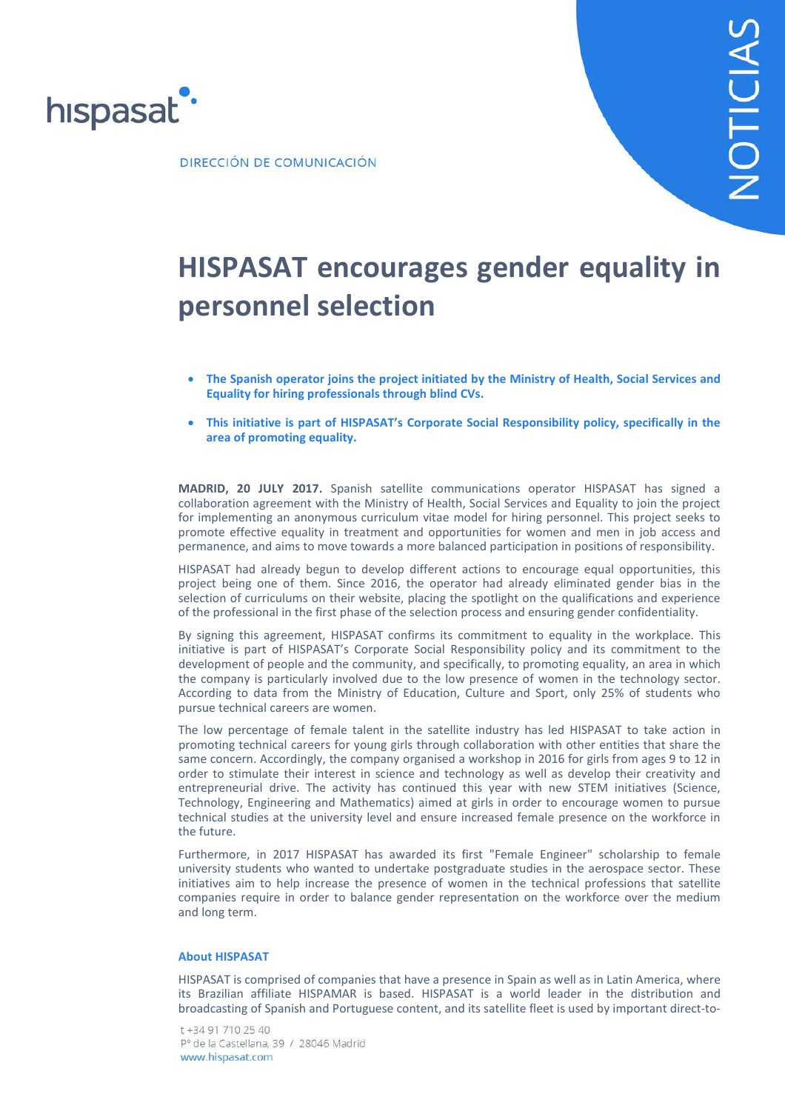

## **HISPASAT encourages gender equality in personnel selection**

- **The Spanish operator joins the project initiated by the Ministry of Health, Social Services and Equality for hiring professionals through blind CVs.**
- **This initiative is part of HISPASAT's Corporate Social Responsibility policy, specifically in the area of promoting equality.**

**MADRID, 20 JULY 2017.** Spanish satellite communications operator HISPASAT has signed a collaboration agreement with the Ministry of Health, Social Services and Equality to join the project for implementing an anonymous curriculum vitae model for hiring personnel. This project seeks to promote effective equality in treatment and opportunities for women and men in job access and permanence, and aims to move towards a more balanced participation in positions of responsibility.

HISPASAT had already begun to develop different actions to encourage equal opportunities, this project being one of them. Since 2016, the operator had already eliminated gender bias in the selection of curriculums on their website, placing the spotlight on the qualifications and experience of the professional in the first phase of the selection process and ensuring gender confidentiality.

By signing this agreement, HISPASAT confirms its commitment to equality in the workplace. This initiative is part of HISPASAT's Corporate Social Responsibility policy and its commitment to the development of people and the community, and specifically, to promoting equality, an area in which the company is particularly involved due to the low presence of women in the technology sector. According to data from the Ministry of Education, Culture and Sport, only 25% of students who pursue technical careers are women.

The low percentage of female talent in the satellite industry has led HISPASAT to take action in promoting technical careers for young girls through collaboration with other entities that share the same concern. Accordingly, the company organised a workshop in 2016 for girls from ages 9 to 12 in order to stimulate their interest in science and technology as well as develop their creativity and entrepreneurial drive. The activity has continued this year with new STEM initiatives (Science, Technology, Engineering and Mathematics) aimed at girls in order to encourage women to pursue technical studies at the university level and ensure increased female presence on the workforce in the future.

Furthermore, in 2017 HISPASAT has awarded its first "Female Engineer" scholarship to female university students who wanted to undertake postgraduate studies in the aerospace sector. These initiatives aim to help increase the presence of women in the technical professions that satellite companies require in order to balance gender representation on the workforce over the medium and long term.

## **About HISPASAT**

HISPASAT is comprised of companies that have a presence in Spain as well as in Latin America, where its Brazilian affiliate HISPAMAR is based. HISPASAT is a world leader in the distribution and broadcasting of Spanish and Portuguese content, and its satellite fleet is used by important direct-to-

t +34 91 710 25 40 Pº de la Castellana, 39 / 28046 Madrid www.hispasat.com